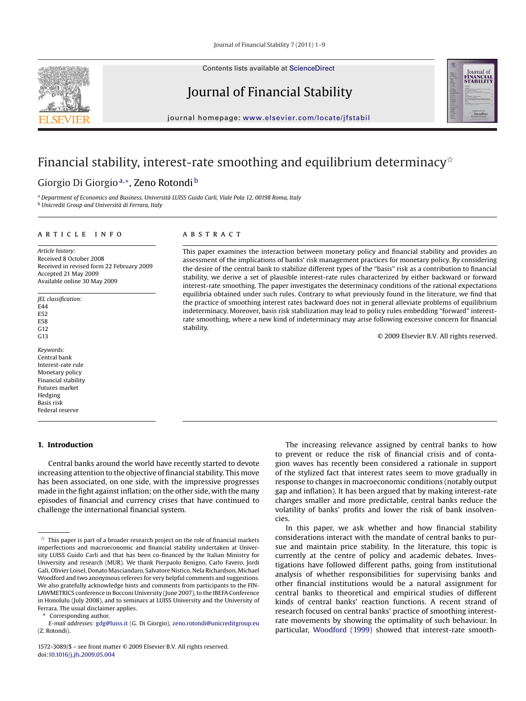Contents lists available at [ScienceDirect](http://www.sciencedirect.com/science/journal/15723089)

# Journal of Financial Stability

journal homepage: [www.elsevier.com/locate/jfstabil](http://www.elsevier.com/locate/jfstabil)

### Financial stability, interest-rate smoothing and equilibrium determinacy $^{\star}$

### Giorgio Di Giorgio<sup>a,∗</sup>, Zeno Rotondi<sup>b</sup>

<sup>a</sup> *Department of Economics and Business, Università LUISS Guido Carli, Viale Pola 12, 00198 Roma, Italy* <sup>b</sup> *Unicredit Group and Università di Ferrara, Italy*

#### article info

*Article history:* Received 8 October 2008 Received in revised form 22 February 2009 Accepted 21 May 2009 Available online 30 May 2009

*JEL classification:* F<sub>44</sub> E52 E58 G12  $G<sub>13</sub>$ 

*Keywords:* Central bank Interest-rate rule Monetary policy Financial stability Futures market Hedging Basis risk Federal reserve

#### **1. Introduction**

Central banks around the world have recently started to devote increasing attention to the objective of financial stability. This move has been associated, on one side, with the impressive progresses made in the fight against inflation; on the other side, with the many episodes of financial and currency crises that have continued to challenge the international financial system.

Corresponding author.

### A B S T R A C T

This paper examines the interaction between monetary policy and financial stability and provides an assessment of the implications of banks' risk management practices for monetary policy. By considering the desire of the central bank to stabilize different types of the "basis" risk as a contribution to financial stability, we derive a set of plausible interest-rate rules characterized by either backward or forward interest-rate smoothing. The paper investigates the determinacy conditions of the rational expectations equilibria obtained under such rules. Contrary to what previously found in the literature, we find that the practice of smoothing interest rates backward does not in general alleviate problems of equilibrium indeterminacy. Moreover, basis risk stabilization may lead to policy rules embedding "forward" interestrate smoothing, where a new kind of indeterminacy may arise following excessive concern for financial stability.

© 2009 Elsevier B.V. All rights reserved.

The increasing relevance assigned by central banks to how to prevent or reduce the risk of financial crisis and of contagion waves has recently been considered a rationale in support of the stylized fact that interest rates seem to move gradually in response to changes in macroeconomic conditions (notably output gap and inflation). It has been argued that by making interest-rate changes smaller and more predictable, central banks reduce the volatility of banks' profits and lower the risk of bank insolvencies.

In this paper, we ask whether and how financial stability considerations interact with the mandate of central banks to pursue and maintain price stability. In the literature, this topic is currently at the centre of policy and academic debates. Investigations have followed different paths, going from institutional analysis of whether responsibilities for supervising banks and other financial institutions would be a natural assignment for central banks to theoretical and empirical studies of different kinds of central banks' reaction functions. A recent strand of research focused on central banks' practice of smoothing interestrate movements by showing the optimality of such behaviour. In particular, [Woodford \(1999\)](#page--1-0) showed that interest-rate smooth-





 $^\star$  This paper is part of a broader research project on the role of financial markets imperfections and macroeconomic and financial stability undertaken at University LUISS Guido Carli and that has been co-financed by the Italian Ministry for University and research (MUR). We thank Pierpaolo Benigno, Carlo Favero, Jordi Gali, Olivier Loisel, Donato Masciandaro, Salvatore Nistico, Nela Richardson, Michael Woodford and two anonymous referees for very helpful comments and suggestions. We also gratefully acknowledge hints and comments from participants to the FIN-LAWMETRICS conference in Bocconi University (June 2007), to the IBEFA Conference in Honolulu (July 2008), and to seminars at LUISS University and the University of Ferrara. The usual disclaimer applies.

*E-mail addresses:* [gdg@luiss.it](mailto:gdg@luiss.it) (G. Di Giorgio), [zeno.rotondi@unicreditgroup.eu](mailto:zeno.rotondi@unicreditgroup.eu) (Z. Rotondi).

<sup>1572-3089/\$ –</sup> see front matter © 2009 Elsevier B.V. All rights reserved. doi:[10.1016/j.jfs.2009.05.004](dx.doi.org/10.1016/j.jfs.2009.05.004)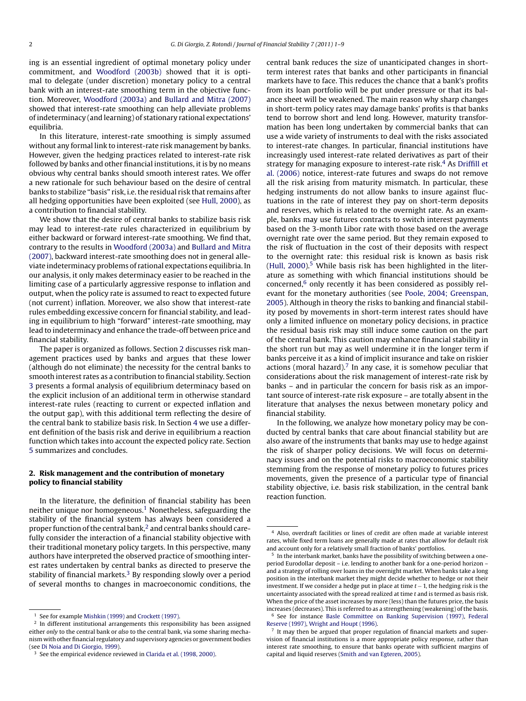ing is an essential ingredient of optimal monetary policy under commitment, and [Woodford \(2003b\)](#page--1-0) showed that it is optimal to delegate (under discretion) monetary policy to a central bank with an interest-rate smoothing term in the objective function. Moreover, [Woodford \(2003a\)](#page--1-0) and [Bullard and Mitra \(2007\)](#page--1-0) showed that interest-rate smoothing can help alleviate problems of indeterminacy (and learning) of stationary rational expectations' equilibria.

In this literature, interest-rate smoothing is simply assumed without any formal link to interest-rate risk management by banks. However, given the hedging practices related to interest-rate risk followed by banks and other financial institutions, it is by no means obvious why central banks should smooth interest rates. We offer a new rationale for such behaviour based on the desire of central banks to stabilize "basis" risk, i.e. the residual risk that remains after all hedging opportunities have been exploited (see [Hull, 2000\),](#page--1-0) as a contribution to financial stability.

We show that the desire of central banks to stabilize basis risk may lead to interest-rate rules characterized in equilibrium by either backward or forward interest-rate smoothing. We find that, contrary to the results in [Woodford \(2003a\)](#page--1-0) and [Bullard and Mitra](#page--1-0) [\(2007\), b](#page--1-0)ackward interest-rate smoothing does not in general alleviate indeterminacy problems of rational expectations equilibria. In our analysis, it only makes determinacy easier to be reached in the limiting case of a particularly aggressive response to inflation and output, when the policy rate is assumed to react to expected future (not current) inflation. Moreover, we also show that interest-rate rules embedding excessive concern for financial stability, and leading in equilibrium to high "forward" interest-rate smoothing, may lead to indeterminacy and enhance the trade-off between price and financial stability.

The paper is organized as follows. Section 2 discusses risk management practices used by banks and argues that these lower (although do not eliminate) the necessity for the central banks to smooth interest rates as a contribution to financial stability. Section [3](#page--1-0) presents a formal analysis of equilibrium determinacy based on the explicit inclusion of an additional term in otherwise standard interest-rate rules (reacting to current or expected inflation and the output gap), with this additional term reflecting the desire of the central bank to stabilize basis risk. In Section [4](#page--1-0) we use a different definition of the basis risk and derive in equilibrium a reaction function which takes into account the expected policy rate. Section [5](#page--1-0) summarizes and concludes.

#### **2. Risk management and the contribution of monetary policy to financial stability**

In the literature, the definition of financial stability has been neither unique nor homogeneous.1 Nonetheless, safeguarding the stability of the financial system has always been considered a proper function of the central bank, $<sup>2</sup>$  and central banks should care-</sup> fully consider the interaction of a financial stability objective with their traditional monetary policy targets. In this perspective, many authors have interpreted the observed practice of smoothing interest rates undertaken by central banks as directed to preserve the stability of financial markets.<sup>3</sup> By responding slowly over a period of several months to changes in macroeconomic conditions, the central bank reduces the size of unanticipated changes in shortterm interest rates that banks and other participants in financial markets have to face. This reduces the chance that a bank's profits from its loan portfolio will be put under pressure or that its balance sheet will be weakened. The main reason why sharp changes in short-term policy rates may damage banks' profits is that banks tend to borrow short and lend long. However, maturity transformation has been long undertaken by commercial banks that can use a wide variety of instruments to deal with the risks associated to interest-rate changes. In particular, financial institutions have increasingly used interest-rate related derivatives as part of their strategy for managing exposure to interest-rate risk. $4$  As [Driffill et](#page--1-0) [al. \(2006\)](#page--1-0) notice, interest-rate futures and swaps do not remove all the risk arising from maturity mismatch. In particular, these hedging instruments do not allow banks to insure against fluctuations in the rate of interest they pay on short-term deposits and reserves, which is related to the overnight rate. As an example, banks may use futures contracts to switch interest payments based on the 3-month Libor rate with those based on the average overnight rate over the same period. But they remain exposed to the risk of fluctuation in the cost of their deposits with respect to the overnight rate: this residual risk is known as basis risk  $(Hull, 2000)$ <sup>5</sup> While basis risk has been highlighted in the literature as something with which financial institutions should be concerned, $6$  only recently it has been considered as possibly relevant for the monetary authorities (see [Poole, 2004; Greenspan,](#page--1-0) [2005\).](#page--1-0) Although in theory the risks to banking and financial stability posed by movements in short-term interest rates should have only a limited influence on monetary policy decisions, in practice the residual basis risk may still induce some caution on the part of the central bank. This caution may enhance financial stability in the short run but may as well undermine it in the longer term if banks perceive it as a kind of implicit insurance and take on riskier actions (moral hazard). $7$  In any case, it is somehow peculiar that considerations about the risk management of interest-rate risk by banks – and in particular the concern for basis risk as an important source of interest-rate risk exposure – are totally absent in the literature that analyses the nexus between monetary policy and financial stability.

In the following, we analyze how monetary policy may be conducted by central banks that care about financial stability but are also aware of the instruments that banks may use to hedge against the risk of sharper policy decisions. We will focus on determinacy issues and on the potential risks to macroeconomic stability stemming from the response of monetary policy to futures prices movements, given the presence of a particular type of financial stability objective, i.e. basis risk stabilization, in the central bank reaction function.

<sup>&</sup>lt;sup>1</sup> See for example [Mishkin \(1999\)](#page--1-0) and [Crockett \(1997\).](#page--1-0)

<sup>&</sup>lt;sup>2</sup> In different institutional arrangements this responsibility has been assigned either *only* to the central bank or *also* to the central bank, via some sharing mechanism with other financial regulatory and supervisory agencies or government bodies (see [Di Noia and Di Giorgio, 1999\).](#page--1-0)

<sup>&</sup>lt;sup>3</sup> See the empirical evidence reviewed in [Clarida et al. \(1998, 2000\).](#page--1-0)

<sup>4</sup> Also, overdraft facilities or lines of credit are often made at variable interest rates, while fixed term loans are generally made at rates that allow for default risk and account only for a relatively small fraction of banks' portfolios.

In the interbank market, banks have the possibility of switching between a oneperiod Eurodollar deposit – i.e. lending to another bank for a one-period horizon – and a strategy of rolling over loans in the overnight market. When banks take a long position in the interbank market they might decide whether to hedge or not their investment. If we consider a hedge put in place at time *t* − 1, the hedging risk is the uncertainty associated with the spread realized at time *t* and is termed as basis risk. When the price of the asset increases by more (less) than the futures price, the basis increases (decreases). This is referred to as a strengthening (weakening) of the basis. <sup>6</sup> See for instance [Basle Committee on Banking Supervision \(1997\),](#page--1-0) [Federal](#page--1-0) [Reserve \(1997\),](#page--1-0) [Wright and Houpt \(1996\).](#page--1-0)

 $7$  It may then be argued that proper regulation of financial markets and supervision of financial institutions is a more appropriate policy response, rather than interest rate smoothing, to ensure that banks operate with sufficient margins of capital and liquid reserves ([Smith and van Egteren, 2005\).](#page--1-0)